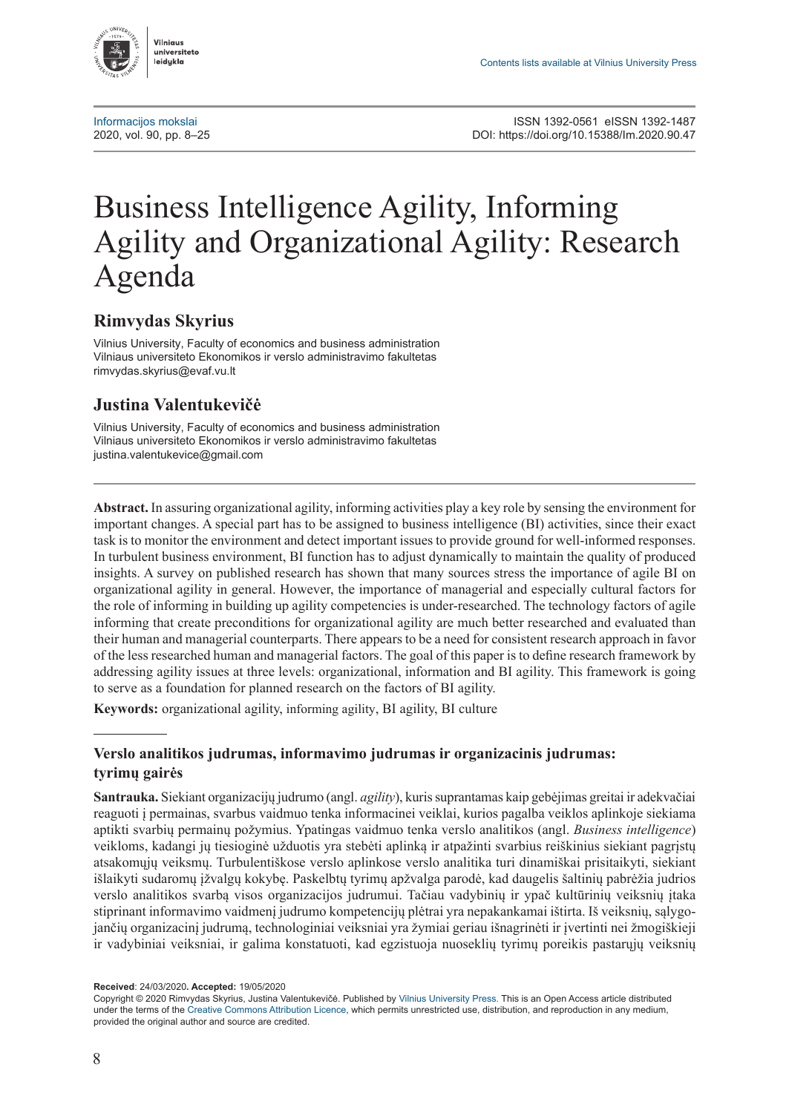

[Informacijos mokslai](http://www.zurnalai.vu.lt/informacijos-mokslai) Informacijos mokslai Informacijos mokslai ISSN 1392-0561 eISSN 1392-1487<br>2020. Inttps://doi.org/10.15388/lm.2020.90.47 2020, vol. 90, pp. 8–25 DOI: <https://doi.org/10.15388/Im.2020.90.47>

# Business Intelligence Agility, Informing Agility and Organizational Agility: Research Agenda

#### **Rimvydas Skyrius**

Vilnius University, Faculty of economics and business administration Vilniaus universiteto Ekonomikos ir verslo administravimo fakultetas [rimvydas.skyrius@evaf.vu.lt](mailto:rimvydas.skyrius@evaf.vu.lt)

### **Justina Valentukevičė**

Vilnius University, Faculty of economics and business administration Vilniaus universiteto Ekonomikos ir verslo administravimo fakultetas [justina.valentukevice@gmail.com](mailto:justina.valentukevice@gmail.com)

**Abstract.** In assuring organizational agility, informing activities play a key role by sensing the environment for important changes. A special part has to be assigned to business intelligence (BI) activities, since their exact task is to monitor the environment and detect important issues to provide ground for well-informed responses. In turbulent business environment, BI function has to adjust dynamically to maintain the quality of produced insights. A survey on published research has shown that many sources stress the importance of agile BI on organizational agility in general. However, the importance of managerial and especially cultural factors for the role of informing in building up agility competencies is under-researched. The technology factors of agile informing that create preconditions for organizational agility are much better researched and evaluated than their human and managerial counterparts. There appears to be a need for consistent research approach in favor of the less researched human and managerial factors. The goal of this paper is to define research framework by addressing agility issues at three levels: organizational, information and BI agility. This framework is going to serve as a foundation for planned research on the factors of BI agility.

**Keywords:** organizational agility, informing agility, BI agility, BI culture

#### **Verslo analitikos judrumas, informavimo judrumas ir organizacinis judrumas: tyrimų gairės**

**Santrauka.** Siekiant organizacijų judrumo (angl. *agility*), kuris suprantamas kaip gebėjimas greitai ir adekvačiai reaguoti į permainas, svarbus vaidmuo tenka informacinei veiklai, kurios pagalba veiklos aplinkoje siekiama aptikti svarbių permainų požymius. Ypatingas vaidmuo tenka verslo analitikos (angl. *Business intelligence*) veikloms, kadangi jų tiesioginė užduotis yra stebėti aplinką ir atpažinti svarbius reiškinius siekiant pagrįstų atsakomųjų veiksmų. Turbulentiškose verslo aplinkose verslo analitika turi dinamiškai prisitaikyti, siekiant išlaikyti sudaromų įžvalgų kokybę. Paskelbtų tyrimų apžvalga parodė, kad daugelis šaltinių pabrėžia judrios verslo analitikos svarbą visos organizacijos judrumui. Tačiau vadybinių ir ypač kultūrinių veiksnių įtaka stiprinant informavimo vaidmenį judrumo kompetencijų plėtrai yra nepakankamai ištirta. Iš veiksnių, sąlygojančių organizacinį judrumą, technologiniai veiksniai yra žymiai geriau išnagrinėti ir įvertinti nei žmogiškieji ir vadybiniai veiksniai, ir galima konstatuoti, kad egzistuoja nuoseklių tyrimų poreikis pastarųjų veiksnių

**Received**: 24/03/2020**. Accepted:** 19/05/2020

Copyright © 2020 Rimvydas Skyrius, Justina Valentukevičė. Published by [Vilnius University Press](https://www.vu.lt/leidyba/). This is an Open Access article distributed under the terms of the [Creative Commons Attribution Licence,](https://creativecommons.org/licenses/by/4.0/) which permits unrestricted use, distribution, and reproduction in any medium, provided the original author and source are credited.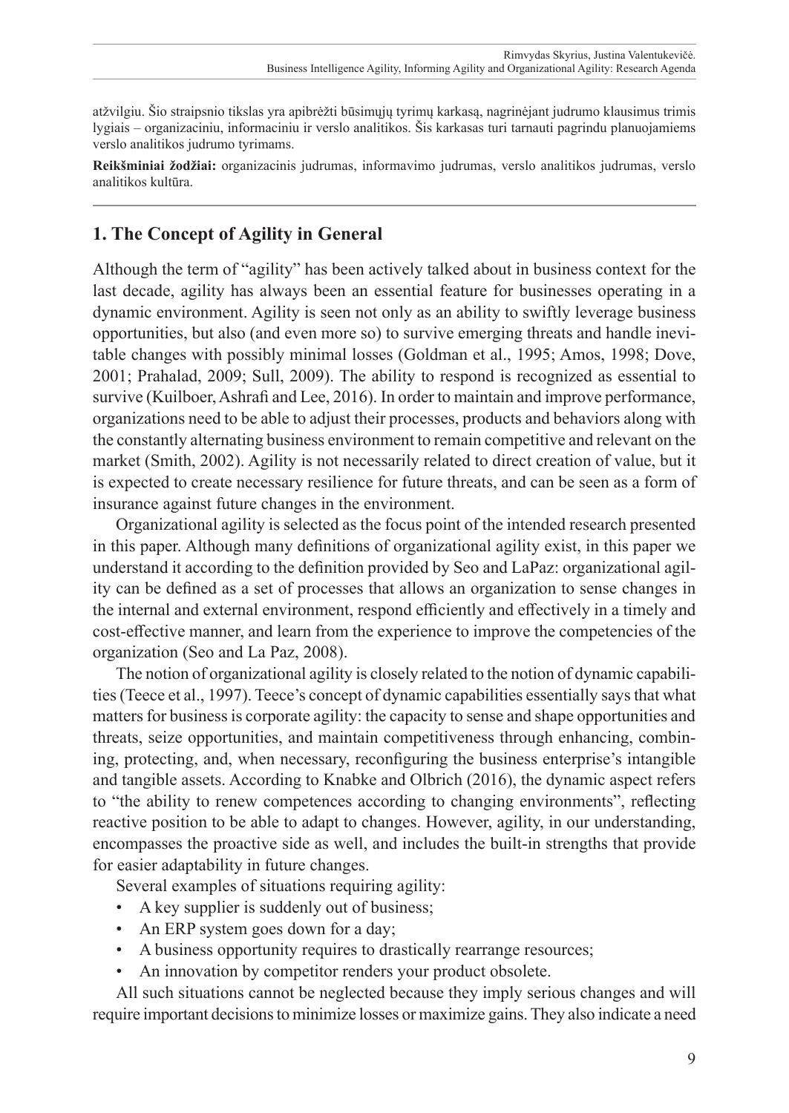atžvilgiu. Šio straipsnio tikslas yra apibrėžti būsimųjų tyrimų karkasą, nagrinėjant judrumo klausimus trimis lygiais – organizaciniu, informaciniu ir verslo analitikos. Šis karkasas turi tarnauti pagrindu planuojamiems verslo analitikos judrumo tyrimams.

**Reikšminiai žodžiai:** organizacinis judrumas, informavimo judrumas, verslo analitikos judrumas, verslo analitikos kultūra.

## **1. The Concept of Agility in General**

Although the term of "agility" has been actively talked about in business context for the last decade, agility has always been an essential feature for businesses operating in a dynamic environment. Agility is seen not only as an ability to swiftly leverage business opportunities, but also (and even more so) to survive emerging threats and handle inevitable changes with possibly minimal losses (Goldman et al., 1995; Amos, 1998; Dove, 2001; Prahalad, 2009; Sull, 2009). The ability to respond is recognized as essential to survive (Kuilboer, Ashrafi and Lee, 2016). In order to maintain and improve performance, organizations need to be able to adjust their processes, products and behaviors along with the constantly alternating business environment to remain competitive and relevant on the market (Smith, 2002). Agility is not necessarily related to direct creation of value, but it is expected to create necessary resilience for future threats, and can be seen as a form of insurance against future changes in the environment.

Organizational agility is selected as the focus point of the intended research presented in this paper. Although many definitions of organizational agility exist, in this paper we understand it according to the definition provided by Seo and LaPaz: organizational agility can be defined as a set of processes that allows an organization to sense changes in the internal and external environment, respond efficiently and effectively in a timely and cost-effective manner, and learn from the experience to improve the competencies of the organization (Seo and La Paz, 2008).

The notion of organizational agility is closely related to the notion of dynamic capabilities (Teece et al., 1997). Teece's concept of dynamic capabilities essentially says that what matters for business is corporate agility: the capacity to sense and shape opportunities and threats, seize opportunities, and maintain competitiveness through enhancing, combining, protecting, and, when necessary, reconfiguring the business enterprise's intangible and tangible assets. According to Knabke and Olbrich (2016), the dynamic aspect refers to "the ability to renew competences according to changing environments", reflecting reactive position to be able to adapt to changes. However, agility, in our understanding, encompasses the proactive side as well, and includes the built-in strengths that provide for easier adaptability in future changes.

Several examples of situations requiring agility:

- A key supplier is suddenly out of business;
- An ERP system goes down for a day;
- A business opportunity requires to drastically rearrange resources;
- An innovation by competitor renders your product obsolete.

All such situations cannot be neglected because they imply serious changes and will require important decisions to minimize losses or maximize gains. They also indicate a need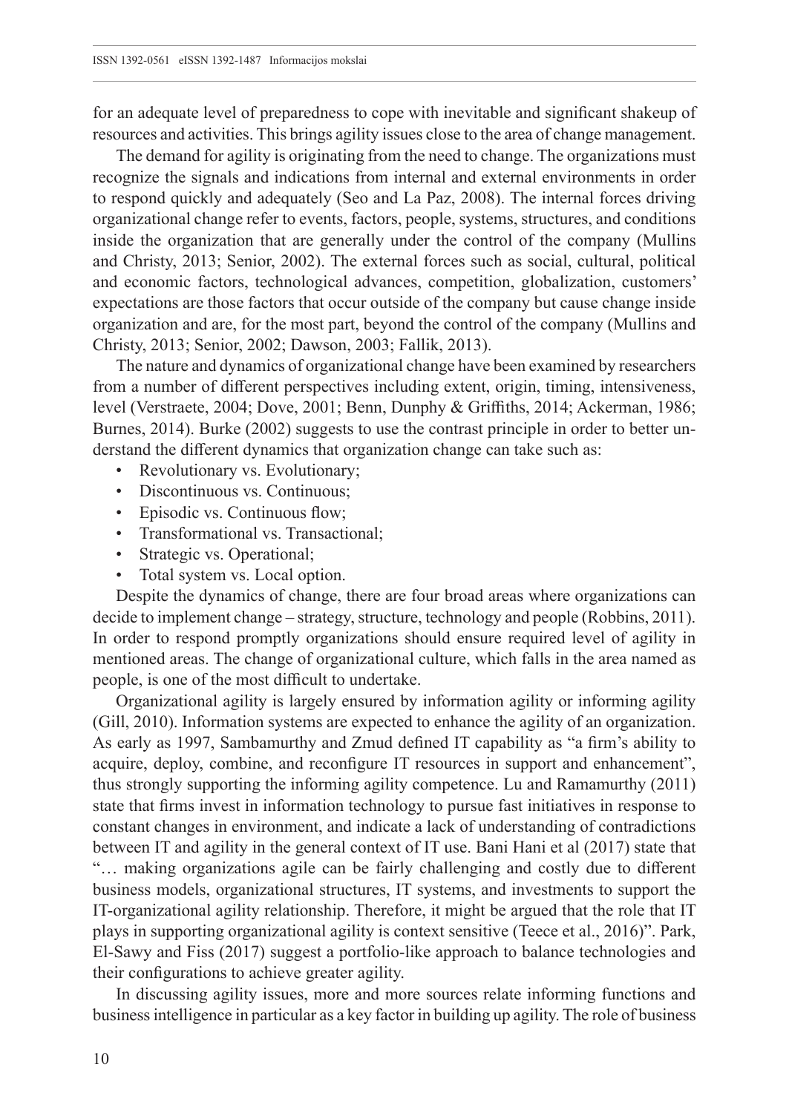for an adequate level of preparedness to cope with inevitable and significant shakeup of resources and activities. This brings agility issues close to the area of change management.

The demand for agility is originating from the need to change. The organizations must recognize the signals and indications from internal and external environments in order to respond quickly and adequately (Seo and La Paz, 2008). The internal forces driving organizational change refer to events, factors, people, systems, structures, and conditions inside the organization that are generally under the control of the company (Mullins and Christy, 2013; Senior, 2002). The external forces such as social, cultural, political and economic factors, technological advances, competition, globalization, customers' expectations are those factors that occur outside of the company but cause change inside organization and are, for the most part, beyond the control of the company (Mullins and Christy, 2013; Senior, 2002; Dawson, 2003; Fallik, 2013).

The nature and dynamics of organizational change have been examined by researchers from a number of different perspectives including extent, origin, timing, intensiveness, level (Verstraete, 2004; Dove, 2001; Benn, Dunphy & Griffiths, 2014; Ackerman, 1986; Burnes, 2014). Burke (2002) suggests to use the contrast principle in order to better understand the different dynamics that organization change can take such as:

- Revolutionary vs. Evolutionary;
- Discontinuous vs. Continuous;
- Episodic vs. Continuous flow;
- Transformational vs. Transactional;
- Strategic vs. Operational;
- Total system vs. Local option.

Despite the dynamics of change, there are four broad areas where organizations can decide to implement change – strategy, structure, technology and people (Robbins, 2011). In order to respond promptly organizations should ensure required level of agility in mentioned areas. The change of organizational culture, which falls in the area named as people, is one of the most difficult to undertake.

Organizational agility is largely ensured by information agility or informing agility (Gill, 2010). Information systems are expected to enhance the agility of an organization. As early as 1997, Sambamurthy and Zmud defined IT capability as "a firm's ability to acquire, deploy, combine, and reconfigure IT resources in support and enhancement", thus strongly supporting the informing agility competence. Lu and Ramamurthy (2011) state that firms invest in information technology to pursue fast initiatives in response to constant changes in environment, and indicate a lack of understanding of contradictions between IT and agility in the general context of IT use. Bani Hani et al (2017) state that "… making organizations agile can be fairly challenging and costly due to different business models, organizational structures, IT systems, and investments to support the IT-organizational agility relationship. Therefore, it might be argued that the role that IT plays in supporting organizational agility is context sensitive (Teece et al., 2016)". Park, El-Sawy and Fiss (2017) suggest a portfolio-like approach to balance technologies and their configurations to achieve greater agility.

In discussing agility issues, more and more sources relate informing functions and business intelligence in particular as a key factor in building up agility. The role of business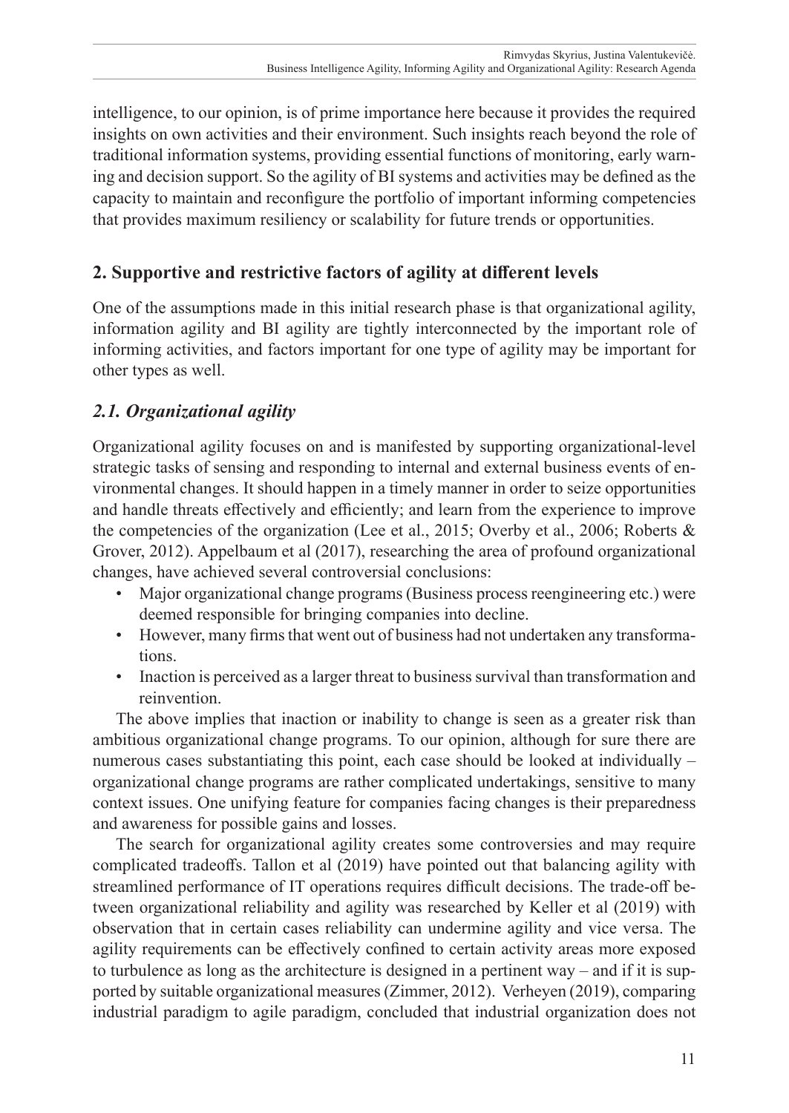intelligence, to our opinion, is of prime importance here because it provides the required insights on own activities and their environment. Such insights reach beyond the role of traditional information systems, providing essential functions of monitoring, early warning and decision support. So the agility of BI systems and activities may be defined as the capacity to maintain and reconfigure the portfolio of important informing competencies that provides maximum resiliency or scalability for future trends or opportunities.

## **2. Supportive and restrictive factors of agility at different levels**

One of the assumptions made in this initial research phase is that organizational agility, information agility and BI agility are tightly interconnected by the important role of informing activities, and factors important for one type of agility may be important for other types as well.

# *2.1. Organizational agility*

Organizational agility focuses on and is manifested by supporting organizational-level strategic tasks of sensing and responding to internal and external business events of environmental changes. It should happen in a timely manner in order to seize opportunities and handle threats effectively and efficiently; and learn from the experience to improve the competencies of the organization (Lee et al., 2015; Overby et al., 2006; Roberts & Grover, 2012). Appelbaum et al (2017), researching the area of profound organizational changes, have achieved several controversial conclusions:

- Major organizational change programs (Business process reengineering etc.) were deemed responsible for bringing companies into decline.
- However, many firms that went out of business had not undertaken any transformations.
- Inaction is perceived as a larger threat to business survival than transformation and reinvention.

The above implies that inaction or inability to change is seen as a greater risk than ambitious organizational change programs. To our opinion, although for sure there are numerous cases substantiating this point, each case should be looked at individually – organizational change programs are rather complicated undertakings, sensitive to many context issues. One unifying feature for companies facing changes is their preparedness and awareness for possible gains and losses.

The search for organizational agility creates some controversies and may require complicated tradeoffs. Tallon et al (2019) have pointed out that balancing agility with streamlined performance of IT operations requires difficult decisions. The trade-off between organizational reliability and agility was researched by Keller et al (2019) with observation that in certain cases reliability can undermine agility and vice versa. The agility requirements can be effectively confined to certain activity areas more exposed to turbulence as long as the architecture is designed in a pertinent way – and if it is supported by suitable organizational measures (Zimmer, 2012). Verheyen (2019), comparing industrial paradigm to agile paradigm, concluded that industrial organization does not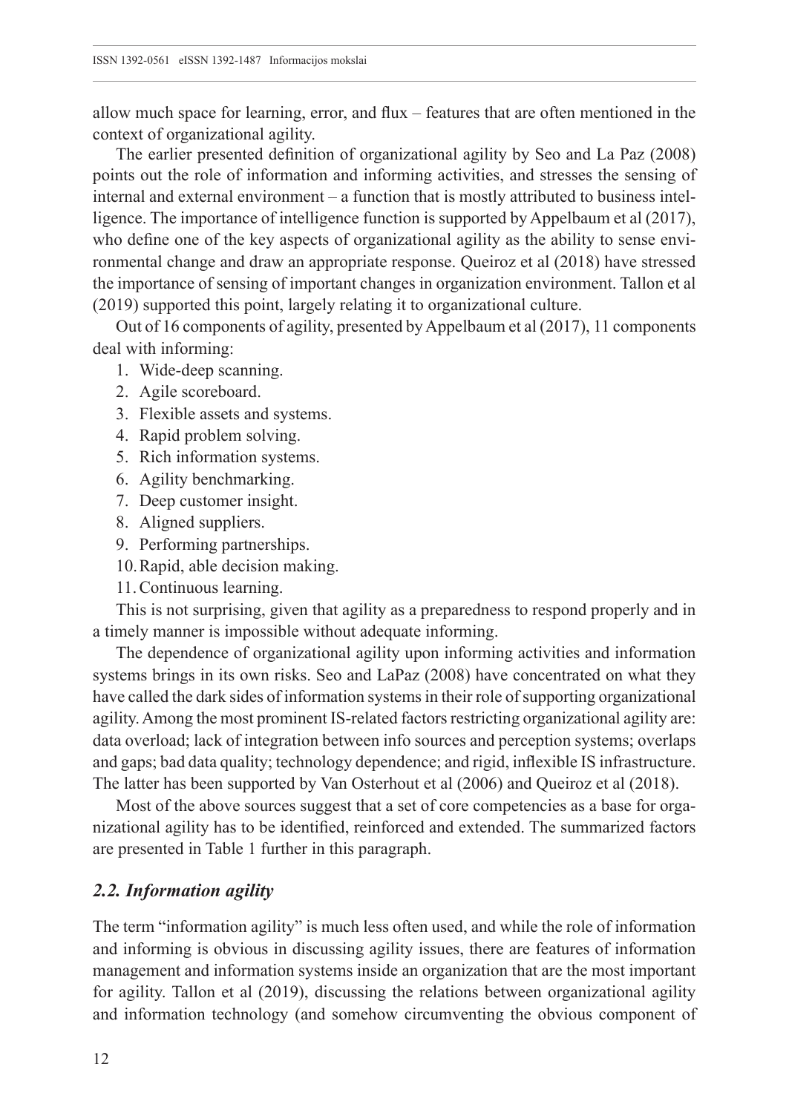allow much space for learning, error, and flux – features that are often mentioned in the context of organizational agility.

The earlier presented definition of organizational agility by Seo and La Paz (2008) points out the role of information and informing activities, and stresses the sensing of internal and external environment – a function that is mostly attributed to business intelligence. The importance of intelligence function is supported by Appelbaum et al (2017), who define one of the key aspects of organizational agility as the ability to sense environmental change and draw an appropriate response. Queiroz et al (2018) have stressed the importance of sensing of important changes in organization environment. Tallon et al (2019) supported this point, largely relating it to organizational culture.

Out of 16 components of agility, presented by Appelbaum et al (2017), 11 components deal with informing:

- 1. Wide-deep scanning.
- 2. Agile scoreboard.
- 3. Flexible assets and systems.
- 4. Rapid problem solving.
- 5. Rich information systems.
- 6. Agility benchmarking.
- 7. Deep customer insight.
- 8. Aligned suppliers.
- 9. Performing partnerships.
- 10.Rapid, able decision making.
- 11.Continuous learning.

This is not surprising, given that agility as a preparedness to respond properly and in a timely manner is impossible without adequate informing.

The dependence of organizational agility upon informing activities and information systems brings in its own risks. Seo and LaPaz (2008) have concentrated on what they have called the dark sides of information systems in their role of supporting organizational agility. Among the most prominent IS-related factors restricting organizational agility are: data overload; lack of integration between info sources and perception systems; overlaps and gaps; bad data quality; technology dependence; and rigid, inflexible IS infrastructure. The latter has been supported by Van Osterhout et al (2006) and Queiroz et al (2018).

Most of the above sources suggest that a set of core competencies as a base for organizational agility has to be identified, reinforced and extended. The summarized factors are presented in Table 1 further in this paragraph.

#### *2.2. Information agility*

The term "information agility" is much less often used, and while the role of information and informing is obvious in discussing agility issues, there are features of information management and information systems inside an organization that are the most important for agility. Tallon et al (2019), discussing the relations between organizational agility and information technology (and somehow circumventing the obvious component of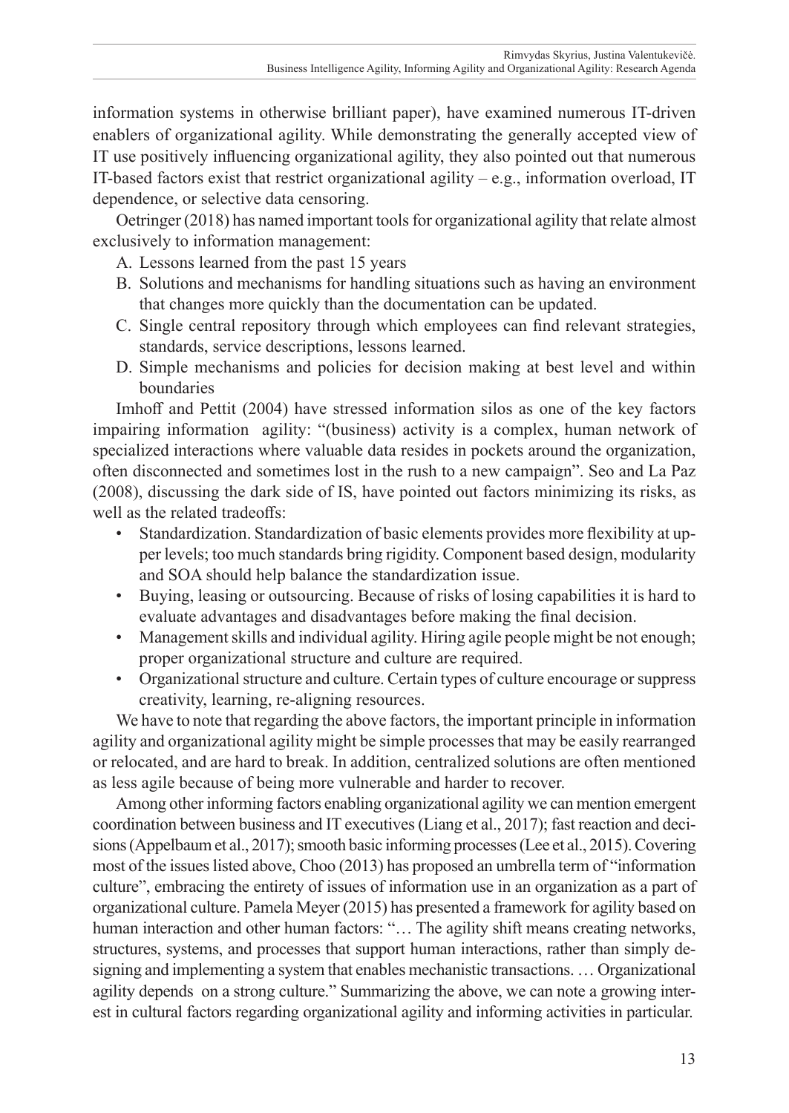information systems in otherwise brilliant paper), have examined numerous IT-driven enablers of organizational agility. While demonstrating the generally accepted view of IT use positively influencing organizational agility, they also pointed out that numerous IT-based factors exist that restrict organizational agility – e.g., information overload, IT dependence, or selective data censoring.

Oetringer (2018) has named important tools for organizational agility that relate almost exclusively to information management:

- A. Lessons learned from the past 15 years
- B. Solutions and mechanisms for handling situations such as having an environment that changes more quickly than the documentation can be updated.
- C. Single central repository through which employees can find relevant strategies, standards, service descriptions, lessons learned.
- D. Simple mechanisms and policies for decision making at best level and within boundaries

Imhoff and Pettit (2004) have stressed information silos as one of the key factors impairing information agility: "(business) activity is a complex, human network of specialized interactions where valuable data resides in pockets around the organization, often disconnected and sometimes lost in the rush to a new campaign". Seo and La Paz (2008), discussing the dark side of IS, have pointed out factors minimizing its risks, as well as the related tradeoffs:

- Standardization. Standardization of basic elements provides more flexibility at upper levels; too much standards bring rigidity. Component based design, modularity and SOA should help balance the standardization issue.
- Buying, leasing or outsourcing. Because of risks of losing capabilities it is hard to evaluate advantages and disadvantages before making the final decision.
- Management skills and individual agility. Hiring agile people might be not enough; proper organizational structure and culture are required.
- Organizational structure and culture. Certain types of culture encourage or suppress creativity, learning, re-aligning resources.

We have to note that regarding the above factors, the important principle in information agility and organizational agility might be simple processes that may be easily rearranged or relocated, and are hard to break. In addition, centralized solutions are often mentioned as less agile because of being more vulnerable and harder to recover.

Among other informing factors enabling organizational agility we can mention emergent coordination between business and IT executives (Liang et al., 2017); fast reaction and decisions (Appelbaum et al., 2017); smooth basic informing processes (Lee et al., 2015). Covering most of the issues listed above, Choo (2013) has proposed an umbrella term of "information culture", embracing the entirety of issues of information use in an organization as a part of organizational culture. Pamela Meyer (2015) has presented a framework for agility based on human interaction and other human factors: "... The agility shift means creating networks, structures, systems, and processes that support human interactions, rather than simply designing and implementing a system that enables mechanistic transactions. … Organizational agility depends on a strong culture." Summarizing the above, we can note a growing interest in cultural factors regarding organizational agility and informing activities in particular.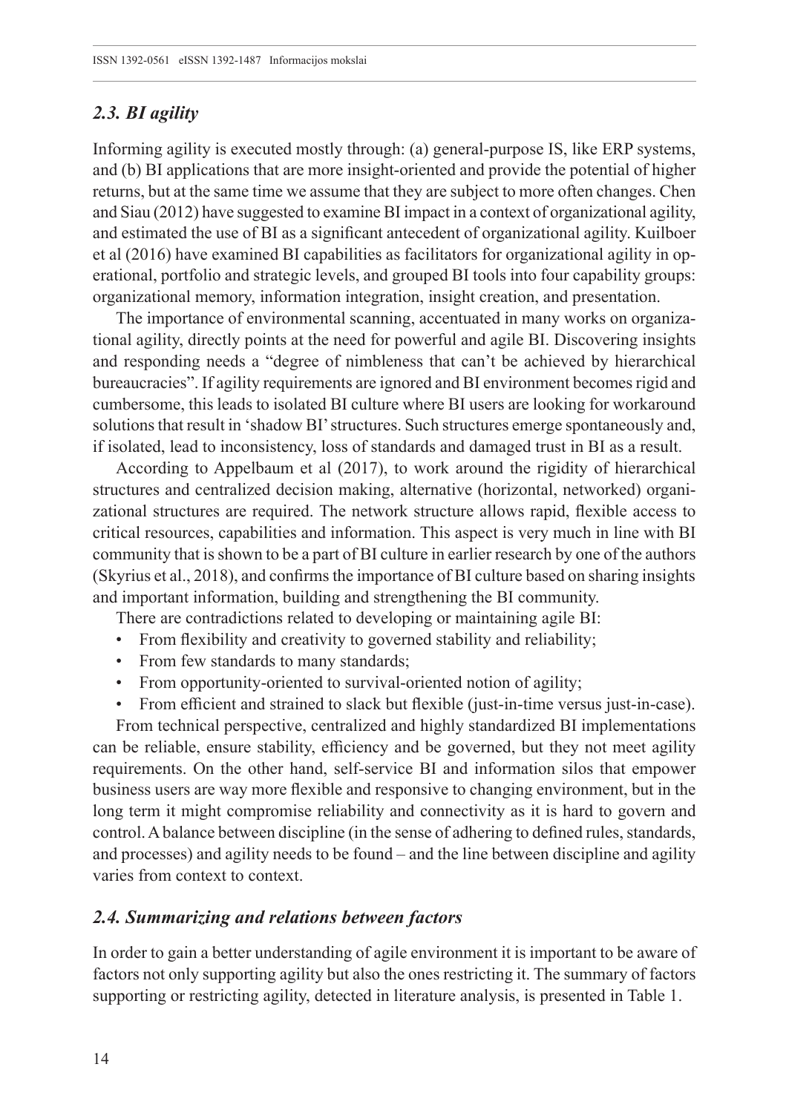## *2.3. BI agility*

Informing agility is executed mostly through: (a) general-purpose IS, like ERP systems, and (b) BI applications that are more insight-oriented and provide the potential of higher returns, but at the same time we assume that they are subject to more often changes. Chen and Siau (2012) have suggested to examine BI impact in a context of organizational agility, and estimated the use of BI as a significant antecedent of organizational agility. Kuilboer et al (2016) have examined BI capabilities as facilitators for organizational agility in operational, portfolio and strategic levels, and grouped BI tools into four capability groups: organizational memory, information integration, insight creation, and presentation.

The importance of environmental scanning, accentuated in many works on organizational agility, directly points at the need for powerful and agile BI. Discovering insights and responding needs a "degree of nimbleness that can't be achieved by hierarchical bureaucracies". If agility requirements are ignored and BI environment becomes rigid and cumbersome, this leads to isolated BI culture where BI users are looking for workaround solutions that result in 'shadow BI' structures. Such structures emerge spontaneously and, if isolated, lead to inconsistency, loss of standards and damaged trust in BI as a result.

According to Appelbaum et al (2017), to work around the rigidity of hierarchical structures and centralized decision making, alternative (horizontal, networked) organizational structures are required. The network structure allows rapid, flexible access to critical resources, capabilities and information. This aspect is very much in line with BI community that is shown to be a part of BI culture in earlier research by one of the authors (Skyrius et al., 2018), and confirms the importance of BI culture based on sharing insights and important information, building and strengthening the BI community.

There are contradictions related to developing or maintaining agile BI:

- From flexibility and creativity to governed stability and reliability;
- From few standards to many standards;
- From opportunity-oriented to survival-oriented notion of agility;
- From efficient and strained to slack but flexible (just-in-time versus just-in-case).

From technical perspective, centralized and highly standardized BI implementations can be reliable, ensure stability, efficiency and be governed, but they not meet agility requirements. On the other hand, self-service BI and information silos that empower business users are way more flexible and responsive to changing environment, but in the long term it might compromise reliability and connectivity as it is hard to govern and control. A balance between discipline (in the sense of adhering to defined rules, standards, and processes) and agility needs to be found – and the line between discipline and agility varies from context to context.

## *2.4. Summarizing and relations between factors*

In order to gain a better understanding of agile environment it is important to be aware of factors not only supporting agility but also the ones restricting it. The summary of factors supporting or restricting agility, detected in literature analysis, is presented in Table 1.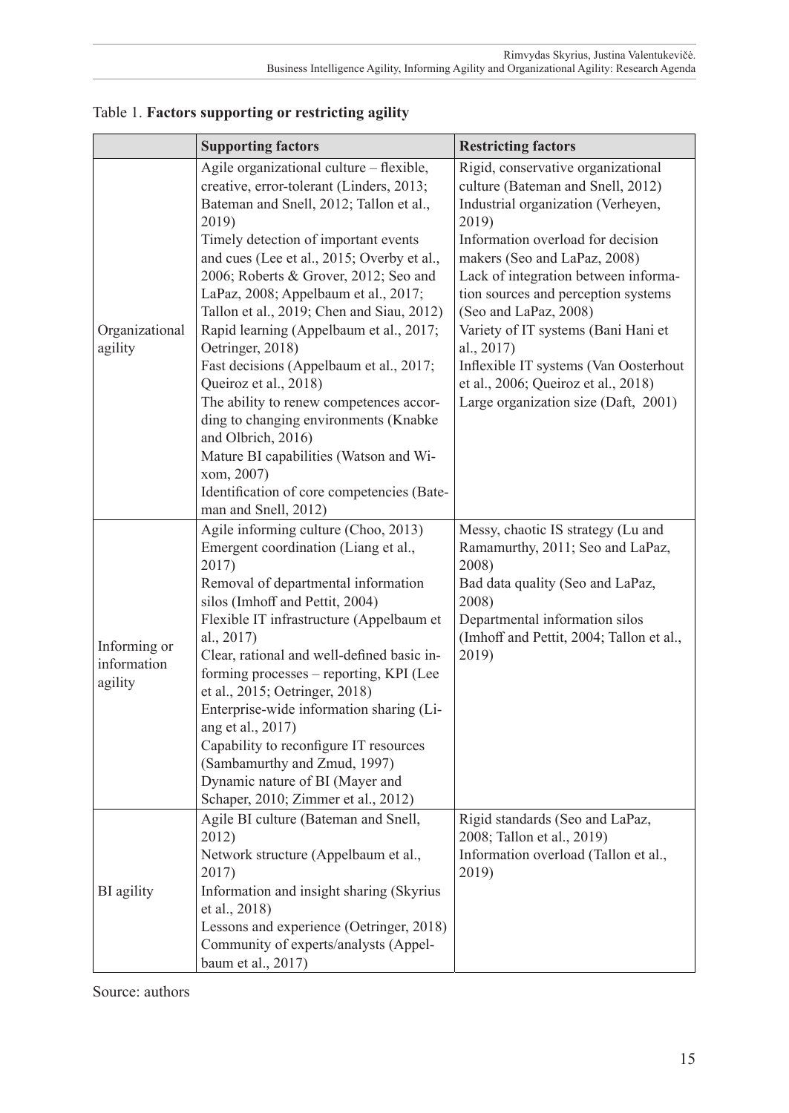|                                        | <b>Supporting factors</b>                                                                                                                                                                                                                                                                                                                                                                                                                                                                                                                                                                                                                                                                                                               | <b>Restricting factors</b>                                                                                                                                                                                                                                                                                                                                                                                                                                                       |
|----------------------------------------|-----------------------------------------------------------------------------------------------------------------------------------------------------------------------------------------------------------------------------------------------------------------------------------------------------------------------------------------------------------------------------------------------------------------------------------------------------------------------------------------------------------------------------------------------------------------------------------------------------------------------------------------------------------------------------------------------------------------------------------------|----------------------------------------------------------------------------------------------------------------------------------------------------------------------------------------------------------------------------------------------------------------------------------------------------------------------------------------------------------------------------------------------------------------------------------------------------------------------------------|
| Organizational<br>agility              | Agile organizational culture - flexible,<br>creative, error-tolerant (Linders, 2013;<br>Bateman and Snell, 2012; Tallon et al.,<br>2019)<br>Timely detection of important events<br>and cues (Lee et al., 2015; Overby et al.,<br>2006; Roberts & Grover, 2012; Seo and<br>LaPaz, 2008; Appelbaum et al., 2017;<br>Tallon et al., 2019; Chen and Siau, 2012)<br>Rapid learning (Appelbaum et al., 2017;<br>Oetringer, 2018)<br>Fast decisions (Appelbaum et al., 2017;<br>Queiroz et al., 2018)<br>The ability to renew competences accor-<br>ding to changing environments (Knabke<br>and Olbrich, 2016)<br>Mature BI capabilities (Watson and Wi-<br>xom, 2007)<br>Identification of core competencies (Bate-<br>man and Snell, 2012) | Rigid, conservative organizational<br>culture (Bateman and Snell, 2012)<br>Industrial organization (Verheyen,<br>2019)<br>Information overload for decision<br>makers (Seo and LaPaz, 2008)<br>Lack of integration between informa-<br>tion sources and perception systems<br>(Seo and LaPaz, 2008)<br>Variety of IT systems (Bani Hani et<br>al., 2017)<br>Inflexible IT systems (Van Oosterhout<br>et al., 2006; Queiroz et al., 2018)<br>Large organization size (Daft, 2001) |
| Informing or<br>information<br>agility | Agile informing culture (Choo, 2013)<br>Emergent coordination (Liang et al.,<br>2017)<br>Removal of departmental information<br>silos (Imhoff and Pettit, 2004)<br>Flexible IT infrastructure (Appelbaum et<br>al., 2017)<br>Clear, rational and well-defined basic in-<br>forming processes - reporting, KPI (Lee<br>et al., 2015; Oetringer, 2018)<br>Enterprise-wide information sharing (Li-<br>ang et al., 2017)<br>Capability to reconfigure IT resources<br>(Sambamurthy and Zmud, 1997)<br>Dynamic nature of BI (Mayer and<br>Schaper, 2010; Zimmer et al., 2012)                                                                                                                                                               | Messy, chaotic IS strategy (Lu and<br>Ramamurthy, 2011; Seo and LaPaz,<br>2008)<br>Bad data quality (Seo and LaPaz,<br>2008)<br>Departmental information silos<br>(Imhoff and Pettit, 2004; Tallon et al.,<br>2019)                                                                                                                                                                                                                                                              |
| BI agility                             | Agile BI culture (Bateman and Snell,<br>2012)<br>Network structure (Appelbaum et al.,<br>2017)<br>Information and insight sharing (Skyrius<br>et al., 2018)<br>Lessons and experience (Oetringer, 2018)<br>Community of experts/analysts (Appel-<br>baum et al., 2017)                                                                                                                                                                                                                                                                                                                                                                                                                                                                  | Rigid standards (Seo and LaPaz,<br>2008; Tallon et al., 2019)<br>Information overload (Tallon et al.,<br>2019)                                                                                                                                                                                                                                                                                                                                                                   |

Table 1. **Factors supporting or restricting agility**

Source: authors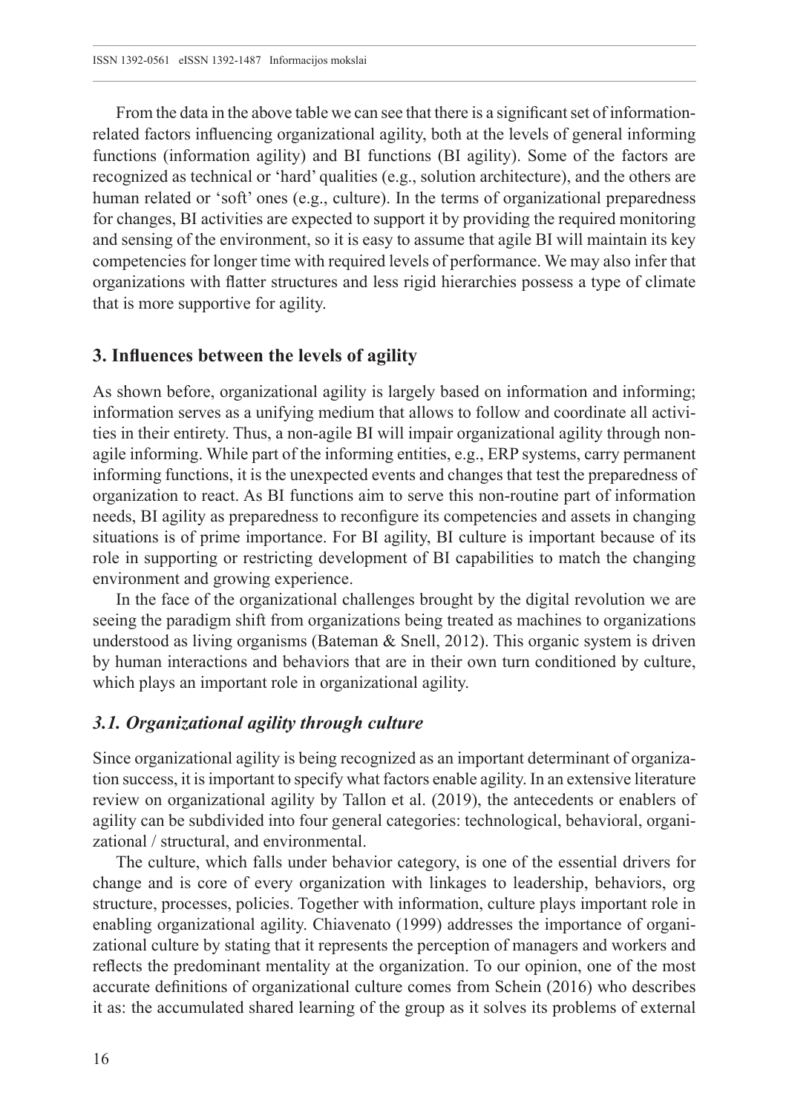From the data in the above table we can see that there is a significant set of informationrelated factors influencing organizational agility, both at the levels of general informing functions (information agility) and BI functions (BI agility). Some of the factors are recognized as technical or 'hard' qualities (e.g., solution architecture), and the others are human related or 'soft' ones (e.g., culture). In the terms of organizational preparedness for changes, BI activities are expected to support it by providing the required monitoring and sensing of the environment, so it is easy to assume that agile BI will maintain its key competencies for longer time with required levels of performance. We may also infer that organizations with flatter structures and less rigid hierarchies possess a type of climate that is more supportive for agility.

#### **3. Influences between the levels of agility**

As shown before, organizational agility is largely based on information and informing; information serves as a unifying medium that allows to follow and coordinate all activities in their entirety. Thus, a non-agile BI will impair organizational agility through nonagile informing. While part of the informing entities, e.g., ERP systems, carry permanent informing functions, it is the unexpected events and changes that test the preparedness of organization to react. As BI functions aim to serve this non-routine part of information needs, BI agility as preparedness to reconfigure its competencies and assets in changing situations is of prime importance. For BI agility, BI culture is important because of its role in supporting or restricting development of BI capabilities to match the changing environment and growing experience.

In the face of the organizational challenges brought by the digital revolution we are seeing the paradigm shift from organizations being treated as machines to organizations understood as living organisms (Bateman  $\&$  Snell, 2012). This organic system is driven by human interactions and behaviors that are in their own turn conditioned by culture, which plays an important role in organizational agility.

#### *3.1. Organizational agility through culture*

Since organizational agility is being recognized as an important determinant of organization success, it is important to specify what factors enable agility. In an extensive literature review on organizational agility by Tallon et al. (2019), the antecedents or enablers of agility can be subdivided into four general categories: technological, behavioral, organizational / structural, and environmental.

The culture, which falls under behavior category, is one of the essential drivers for change and is core of every organization with linkages to leadership, behaviors, org structure, processes, policies. Together with information, culture plays important role in enabling organizational agility. Chiavenato (1999) addresses the importance of organizational culture by stating that it represents the perception of managers and workers and reflects the predominant mentality at the organization. To our opinion, one of the most accurate definitions of organizational culture comes from Schein (2016) who describes it as: the accumulated shared learning of the group as it solves its problems of external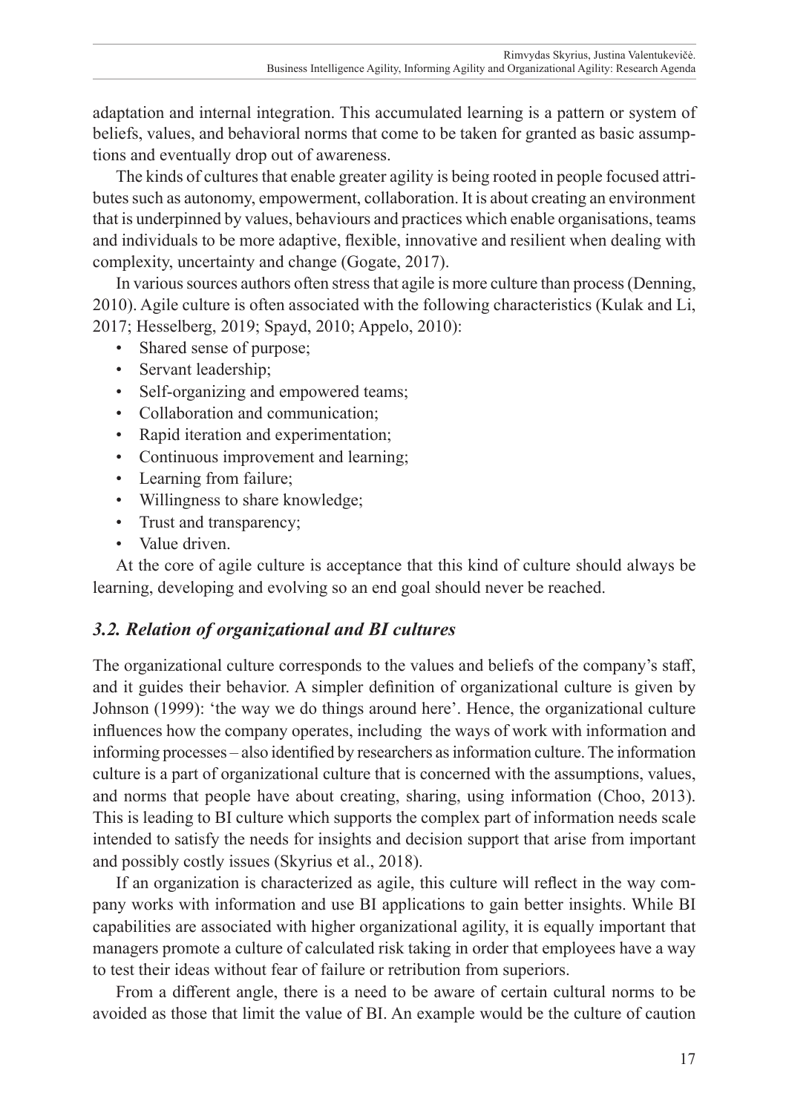adaptation and internal integration. This accumulated learning is a pattern or system of beliefs, values, and behavioral norms that come to be taken for granted as basic assumptions and eventually drop out of awareness.

The kinds of cultures that enable greater agility is being rooted in people focused attributes such as autonomy, empowerment, collaboration. It is about creating an environment that is underpinned by values, behaviours and practices which enable organisations, teams and individuals to be more adaptive, flexible, innovative and resilient when dealing with complexity, uncertainty and change (Gogate, 2017).

In various sources authors often stress that agile is more culture than process (Denning, 2010). Agile culture is often associated with the following characteristics (Kulak and Li, 2017; Hesselberg, 2019; Spayd, 2010; Appelo, 2010):

- Shared sense of purpose;
- Servant leadership;
- Self-organizing and empowered teams;
- Collaboration and communication;
- Rapid iteration and experimentation;
- Continuous improvement and learning;
- Learning from failure;
- Willingness to share knowledge;
- Trust and transparency;
- Value driven.

At the core of agile culture is acceptance that this kind of culture should always be learning, developing and evolving so an end goal should never be reached.

## *3.2. Relation of organizational and BI cultures*

The organizational culture corresponds to the values and beliefs of the company's staff, and it guides their behavior. A simpler definition of organizational culture is given by Johnson (1999): 'the way we do things around here'. Hence, the organizational culture influences how the company operates, including the ways of work with information and informing processes – also identified by researchers as information culture. The information culture is a part of organizational culture that is concerned with the assumptions, values, and norms that people have about creating, sharing, using information (Choo, 2013). This is leading to BI culture which supports the complex part of information needs scale intended to satisfy the needs for insights and decision support that arise from important and possibly costly issues (Skyrius et al., 2018).

If an organization is characterized as agile, this culture will reflect in the way company works with information and use BI applications to gain better insights. While BI capabilities are associated with higher organizational agility, it is equally important that managers promote a culture of calculated risk taking in order that employees have a way to test their ideas without fear of failure or retribution from superiors.

From a different angle, there is a need to be aware of certain cultural norms to be avoided as those that limit the value of BI. An example would be the culture of caution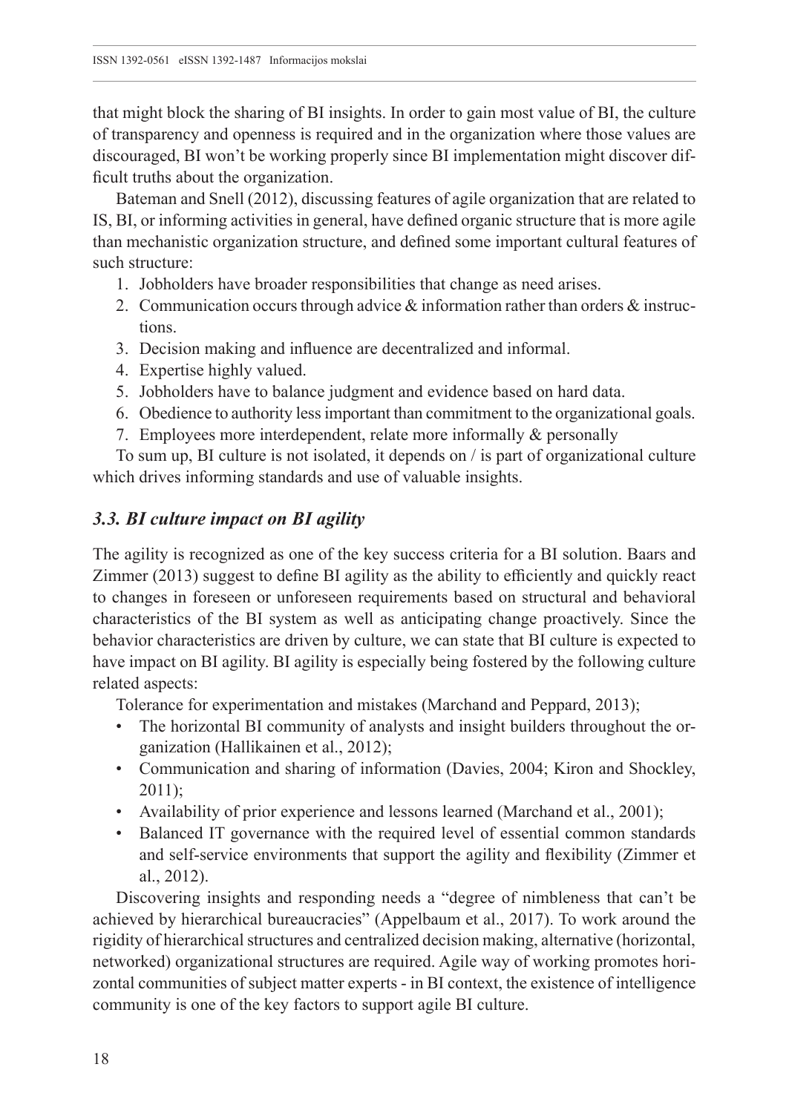that might block the sharing of BI insights. In order to gain most value of BI, the culture of transparency and openness is required and in the organization where those values are discouraged, BI won't be working properly since BI implementation might discover difficult truths about the organization.

Bateman and Snell (2012), discussing features of agile organization that are related to IS, BI, or informing activities in general, have defined organic structure that is more agile than mechanistic organization structure, and defined some important cultural features of such structure:

- 1. Jobholders have broader responsibilities that change as need arises.
- 2. Communication occurs through advice & information rather than orders & instructions.
- 3. Decision making and influence are decentralized and informal.
- 4. Expertise highly valued.
- 5. Jobholders have to balance judgment and evidence based on hard data.
- 6. Obedience to authority less important than commitment to the organizational goals.
- 7. Employees more interdependent, relate more informally & personally

To sum up, BI culture is not isolated, it depends on / is part of organizational culture which drives informing standards and use of valuable insights.

## *3.3. BI culture impact on BI agility*

The agility is recognized as one of the key success criteria for a BI solution. Baars and Zimmer (2013) suggest to define BI agility as the ability to efficiently and quickly react to changes in foreseen or unforeseen requirements based on structural and behavioral characteristics of the BI system as well as anticipating change proactively. Since the behavior characteristics are driven by culture, we can state that BI culture is expected to have impact on BI agility. BI agility is especially being fostered by the following culture related aspects:

Tolerance for experimentation and mistakes (Marchand and Peppard, 2013);

- The horizontal BI community of analysts and insight builders throughout the organization (Hallikainen et al., 2012);
- Communication and sharing of information (Davies, 2004; Kiron and Shockley, 2011);
- Availability of prior experience and lessons learned (Marchand et al., 2001);
- Balanced IT governance with the required level of essential common standards and self-service environments that support the agility and flexibility (Zimmer et al., 2012).

Discovering insights and responding needs a "degree of nimbleness that can't be achieved by hierarchical bureaucracies" (Appelbaum et al., 2017). To work around the rigidity of hierarchical structures and centralized decision making, alternative (horizontal, networked) organizational structures are required. Agile way of working promotes horizontal communities of subject matter experts - in BI context, the existence of intelligence community is one of the key factors to support agile BI culture.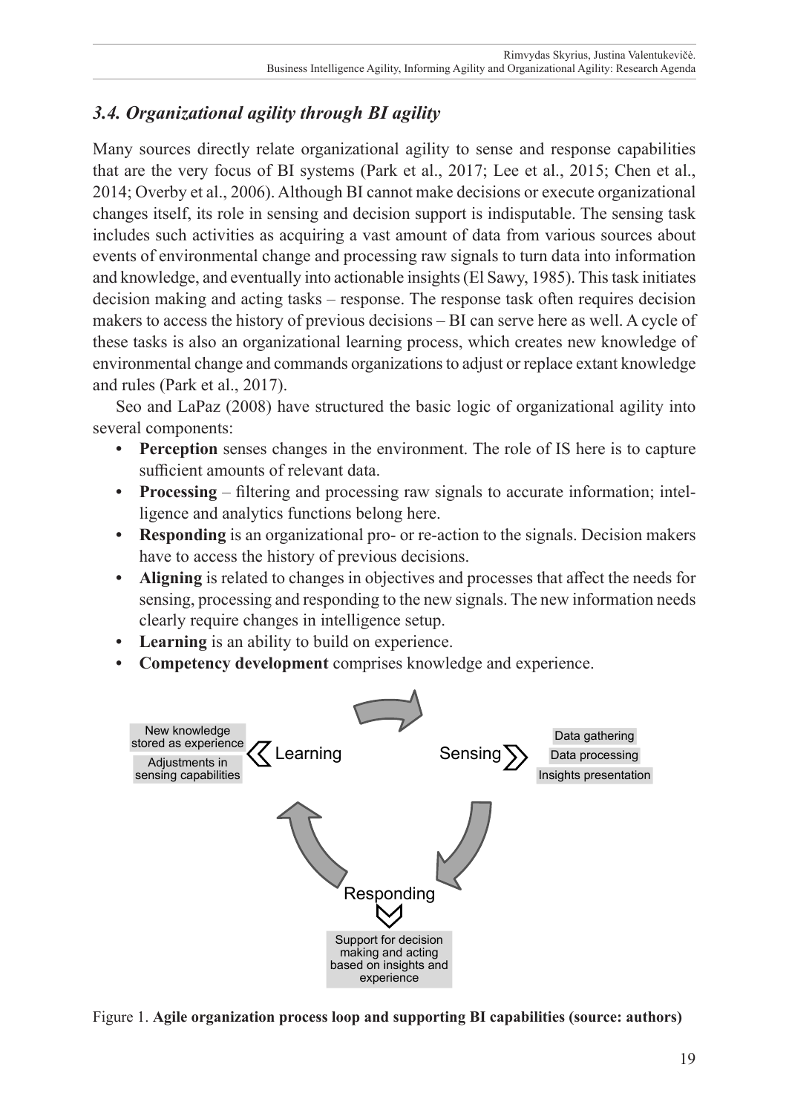## *3.4. Organizational agility through BI agility*

Many sources directly relate organizational agility to sense and response capabilities that are the very focus of BI systems (Park et al., 2017; Lee et al., 2015; Chen et al., 2014; Overby et al., 2006). Although BI cannot make decisions or execute organizational changes itself, its role in sensing and decision support is indisputable. The sensing task includes such activities as acquiring a vast amount of data from various sources about events of environmental change and processing raw signals to turn data into information and knowledge, and eventually into actionable insights (El Sawy, 1985). This task initiates decision making and acting tasks – response. The response task often requires decision makers to access the history of previous decisions – BI can serve here as well. A cycle of these tasks is also an organizational learning process, which creates new knowledge of environmental change and commands organizations to adjust or replace extant knowledge and rules (Park et al., 2017).

Seo and LaPaz (2008) have structured the basic logic of organizational agility into several components:

- **• Perception** senses changes in the environment. The role of IS here is to capture sufficient amounts of relevant data.
- **• Processing** filtering and processing raw signals to accurate information; intelligence and analytics functions belong here.
- **Responding** is an organizational pro- or re-action to the signals. Decision makers have to access the history of previous decisions.
- **• Aligning** is related to changes in objectives and processes that affect the needs for sensing, processing and responding to the new signals. The new information needs clearly require changes in intelligence setup.
- **• Learning** is an ability to build on experience.
- **• Competency development** comprises knowledge and experience.



Figure 1. **Agile organization process loop and supporting BI capabilities (source: authors)**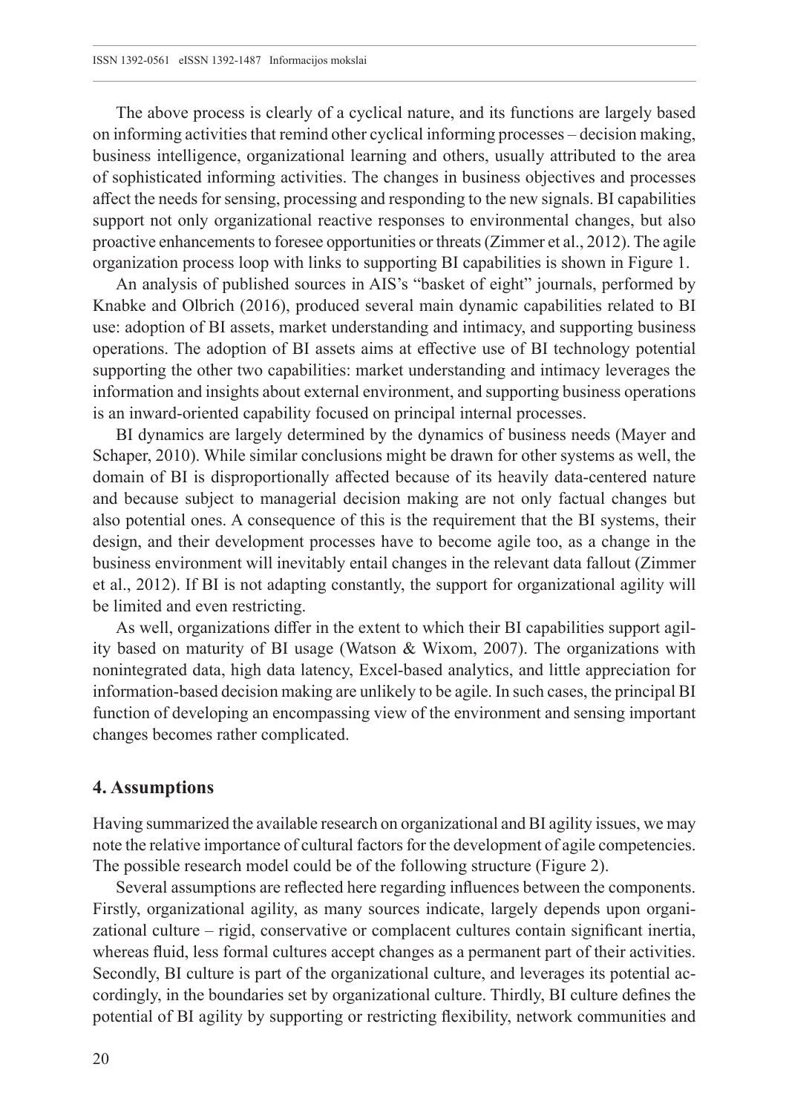The above process is clearly of a cyclical nature, and its functions are largely based on informing activities that remind other cyclical informing processes – decision making, business intelligence, organizational learning and others, usually attributed to the area of sophisticated informing activities. The changes in business objectives and processes affect the needs for sensing, processing and responding to the new signals. BI capabilities support not only organizational reactive responses to environmental changes, but also proactive enhancements to foresee opportunities or threats (Zimmer et al., 2012). The agile organization process loop with links to supporting BI capabilities is shown in Figure 1.

An analysis of published sources in AIS's "basket of eight" journals, performed by Knabke and Olbrich (2016), produced several main dynamic capabilities related to BI use: adoption of BI assets, market understanding and intimacy, and supporting business operations. The adoption of BI assets aims at effective use of BI technology potential supporting the other two capabilities: market understanding and intimacy leverages the information and insights about external environment, and supporting business operations is an inward-oriented capability focused on principal internal processes.

BI dynamics are largely determined by the dynamics of business needs (Mayer and Schaper, 2010). While similar conclusions might be drawn for other systems as well, the domain of BI is disproportionally affected because of its heavily data-centered nature and because subject to managerial decision making are not only factual changes but also potential ones. A consequence of this is the requirement that the BI systems, their design, and their development processes have to become agile too, as a change in the business environment will inevitably entail changes in the relevant data fallout (Zimmer et al., 2012). If BI is not adapting constantly, the support for organizational agility will be limited and even restricting.

As well, organizations differ in the extent to which their BI capabilities support agility based on maturity of BI usage (Watson & Wixom, 2007). The organizations with nonintegrated data, high data latency, Excel-based analytics, and little appreciation for information-based decision making are unlikely to be agile. In such cases, the principal BI function of developing an encompassing view of the environment and sensing important changes becomes rather complicated.

#### **4. Assumptions**

Having summarized the available research on organizational and BI agility issues, we may note the relative importance of cultural factors for the development of agile competencies. The possible research model could be of the following structure (Figure 2).

Several assumptions are reflected here regarding influences between the components. Firstly, organizational agility, as many sources indicate, largely depends upon organizational culture – rigid, conservative or complacent cultures contain significant inertia, whereas fluid, less formal cultures accept changes as a permanent part of their activities. Secondly, BI culture is part of the organizational culture, and leverages its potential accordingly, in the boundaries set by organizational culture. Thirdly, BI culture defines the potential of BI agility by supporting or restricting flexibility, network communities and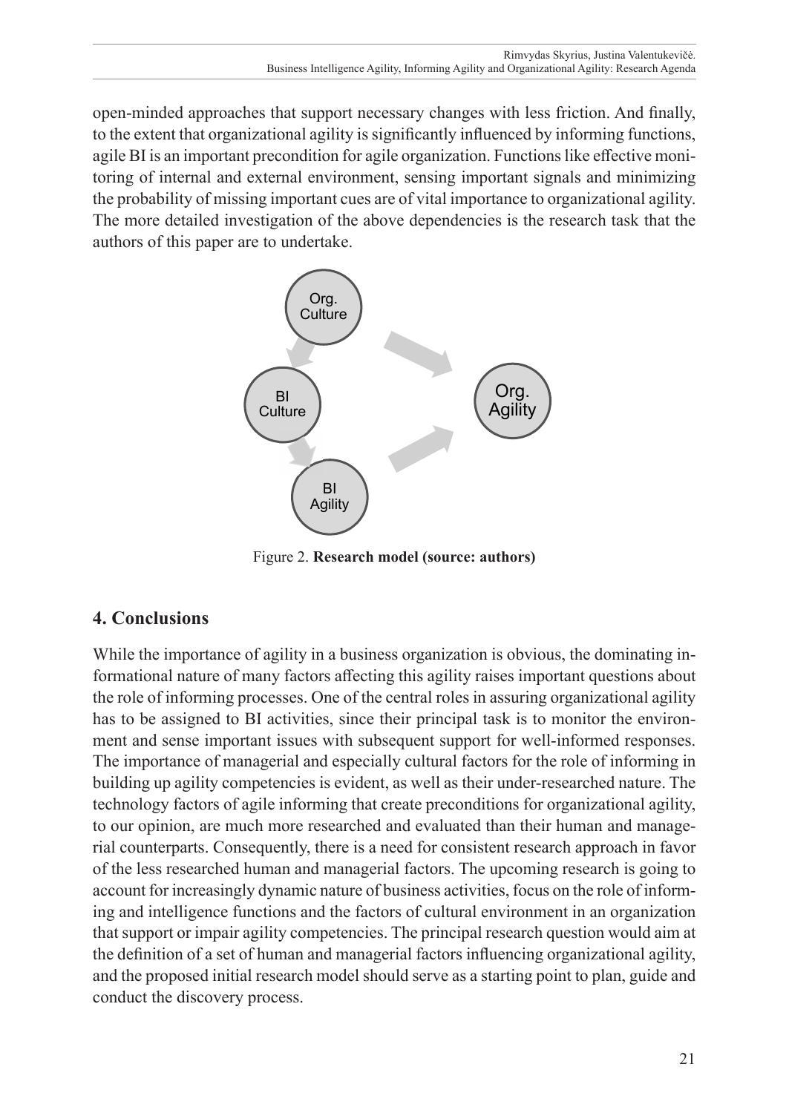open-minded approaches that support necessary changes with less friction. And finally, to the extent that organizational agility is significantly influenced by informing functions, agile BI is an important precondition for agile organization. Functions like effective monitoring of internal and external environment, sensing important signals and minimizing the probability of missing important cues are of vital importance to organizational agility. The more detailed investigation of the above dependencies is the research task that the authors of this paper are to undertake.



Figure 2. **Research model (source: authors)**

## **4. Conclusions**

While the importance of agility in a business organization is obvious, the dominating informational nature of many factors affecting this agility raises important questions about the role of informing processes. One of the central roles in assuring organizational agility has to be assigned to BI activities, since their principal task is to monitor the environment and sense important issues with subsequent support for well-informed responses. The importance of managerial and especially cultural factors for the role of informing in building up agility competencies is evident, as well as their under-researched nature. The technology factors of agile informing that create preconditions for organizational agility, to our opinion, are much more researched and evaluated than their human and managerial counterparts. Consequently, there is a need for consistent research approach in favor of the less researched human and managerial factors. The upcoming research is going to account for increasingly dynamic nature of business activities, focus on the role of informing and intelligence functions and the factors of cultural environment in an organization that support or impair agility competencies. The principal research question would aim at the definition of a set of human and managerial factors influencing organizational agility, and the proposed initial research model should serve as a starting point to plan, guide and conduct the discovery process.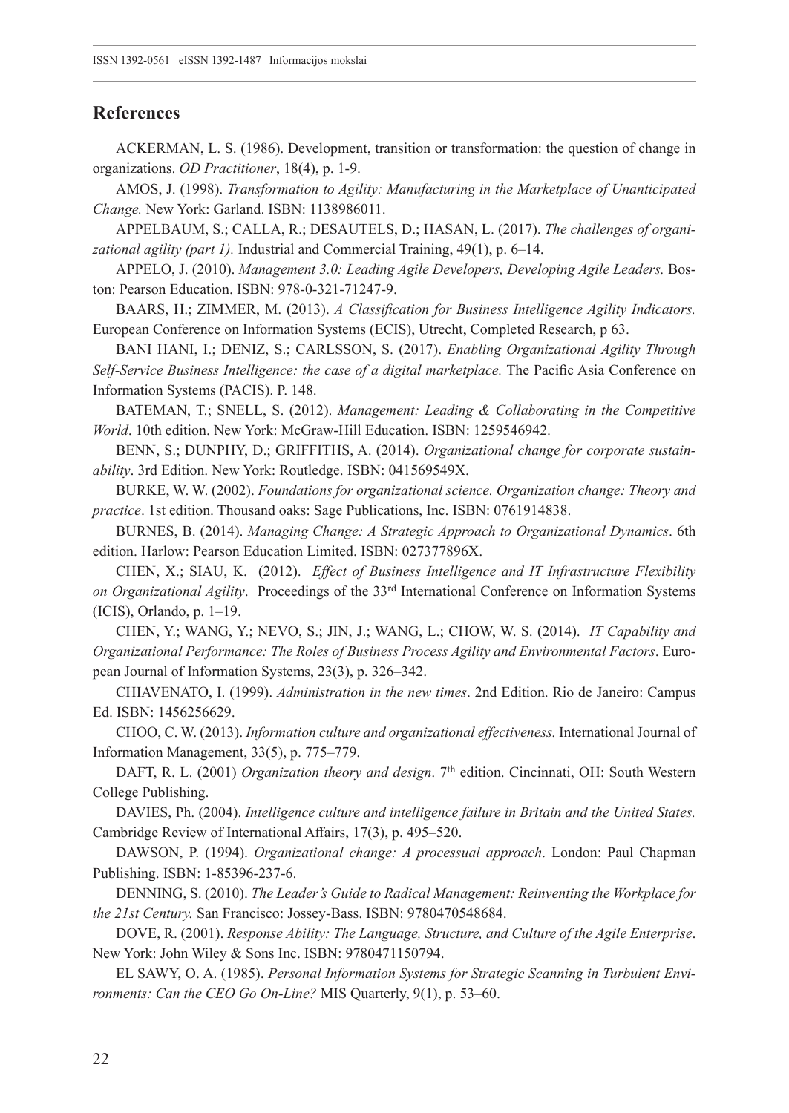#### **References**

ACKERMAN, L. S. (1986). Development, transition or transformation: the question of change in organizations. *OD Practitioner*, 18(4), p. 1-9.

AMOS, J. (1998). *Transformation to Agility: Manufacturing in the Marketplace of Unanticipated Change.* New York: Garland. ISBN: 1138986011.

APPELBAUM, S.; CALLA, R.; DESAUTELS, D.; HASAN, L. (2017). *The challenges of organizational agility (part 1).* Industrial and Commercial Training, 49(1), p. 6–14.

APPELO, J. (2010). *Management 3.0: Leading Agile Developers, Developing Agile Leaders.* Boston: Pearson Education. ISBN: 978-0-321-71247-9.

BAARS, H.; ZIMMER, M. (2013). *A Classification for Business Intelligence Agility Indicators.* European Conference on Information Systems (ECIS), Utrecht, Completed Research, p 63.

BANI HANI, I.; DENIZ, S.; CARLSSON, S. (2017). *Enabling Organizational Agility Through Self-Service Business Intelligence: the case of a digital marketplace.* The Pacific Asia Conference on Information Systems (PACIS). P. 148.

BATEMAN, T.; SNELL, S. (2012). *Management: Leading & Collaborating in the Competitive World*. 10th edition. New York: McGraw-Hill Education. ISBN: 1259546942.

BENN, S.; DUNPHY, D.; GRIFFITHS, A. (2014). *Organizational change for corporate sustainability*. 3rd Edition. New York: Routledge. ISBN: 041569549X.

BURKE, W. W. (2002). *Foundations for organizational science. Organization change: Theory and practice*. 1st edition. Thousand oaks: Sage Publications, Inc. ISBN: 0761914838.

BURNES, B. (2014). *Managing Change: A Strategic Approach to Organizational Dynamics*. 6th edition. Harlow: Pearson Education Limited. ISBN: 027377896X.

CHEN, X.; SIAU, K. (2012). *Effect of Business Intelligence and IT Infrastructure Flexibility on Organizational Agility*. Proceedings of the 33rd International Conference on Information Systems (ICIS), Orlando, p. 1–19.

CHEN, Y.; WANG, Y.; NEVO, S.; JIN, J.; WANG, L.; CHOW, W. S. (2014). *IT Capability and Organizational Performance: The Roles of Business Process Agility and Environmental Factors*. European Journal of Information Systems, 23(3), p. 326–342.

CHIAVENATO, I. (1999). *Administration in the new times*. 2nd Edition. Rio de Janeiro: Campus Ed. ISBN: 1456256629.

CHOO, C. W. (2013). *Information culture and organizational effectiveness.* International Journal of Information Management, 33(5), p. 775–779.

DAFT, R. L. (2001) *Organization theory and design*. 7th edition. Cincinnati, OH: South Western College Publishing.

DAVIES, Ph. (2004). *Intelligence culture and intelligence failure in Britain and the United States.* Cambridge Review of International Affairs, 17(3), p. 495–520.

DAWSON, P. (1994). *Organizational change: A processual approach*. London: Paul Chapman Publishing. ISBN: 1-85396-237-6.

DENNING, S. (2010). *The Leader's Guide to Radical Management: Reinventing the Workplace for the 21st Century.* San Francisco: Jossey-Bass. ISBN: 9780470548684.

DOVE, R. (2001). *Response Ability: The Language, Structure, and Culture of the Agile Enterprise*. New York: John Wiley & Sons Inc. ISBN: 9780471150794.

EL SAWY, O. A. (1985). *Personal Information Systems for Strategic Scanning in Turbulent Environments: Can the CEO Go On-Line?* MIS Quarterly, 9(1), p. 53–60.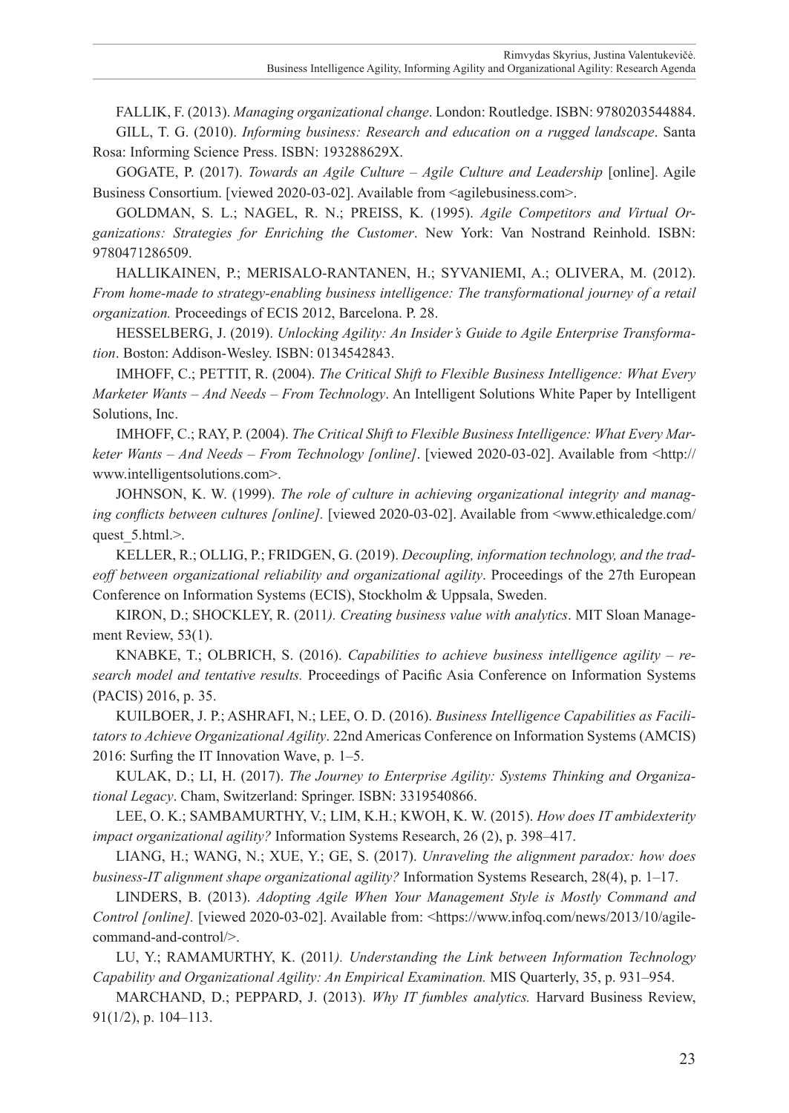FALLIK, F. (2013). *Managing organizational change*. London: Routledge. ISBN: 9780203544884.

GILL, T. G. (2010). *Informing business: Research and education on a rugged landscape*. Santa Rosa: Informing Science Press. ISBN: 193288629X.

GOGATE, P. (2017). *Towards an Agile Culture – Agile Culture and Leadership* [online]. Agile Business Consortium. [viewed 2020-03-02]. Available from <<agilebusiness.com>>.

GOLDMAN, S. L.; NAGEL, R. N.; PREISS, K. (1995). *Agile Competitors and Virtual Organizations: Strategies for Enriching the Customer*. New York: Van Nostrand Reinhold. ISBN: 9780471286509.

HALLIKAINEN, P.; MERISALO-RANTANEN, H.; SYVANIEMI, A.; OLIVERA, M. (2012). *From home-made to strategy-enabling business intelligence: The transformational journey of a retail organization.* Proceedings of ECIS 2012, Barcelona. P. 28.

HESSELBERG, J. (2019). *Unlocking Agility: An Insider's Guide to Agile Enterprise Transformation*. Boston: Addison-Wesley. ISBN: 0134542843.

IMHOFF, C.; PETTIT, R. (2004). *The Critical Shift to Flexible Business Intelligence: What Every Marketer Wants – And Needs – From Technology*. An Intelligent Solutions White Paper by Intelligent Solutions, Inc.

IMHOFF, C.; RAY, P. (2004). *The Critical Shift to Flexible Business Intelligence: What Every Marketer Wants – And Needs – From Technology [online]*. [viewed 2020-03-02]. Available from <[http://](http://www.intelligentsolutions.com) [www.intelligentsolutions.com>](http://www.intelligentsolutions.com).

JOHNSON, K. W. (1999). *The role of culture in achieving organizational integrity and managing conflicts between cultures [online].* [viewed 2020-03-02]. Available from <[www.ethicaledge.com/](www.ethicaledge.com/quest_5.html) quest 5.html.>.

KELLER, R.; OLLIG, P.; FRIDGEN, G. (2019). *Decoupling, information technology, and the tradeoff between organizational reliability and organizational agility*. Proceedings of the 27th European Conference on Information Systems (ECIS), Stockholm & Uppsala, Sweden.

KIRON, D.; SHOCKLEY, R. (2011*). Creating business value with analytics*. MIT Sloan Management Review, 53(1).

KNABKE, T.; OLBRICH, S. (2016). *Capabilities to achieve business intelligence agility – research model and tentative results.* Proceedings of Pacific Asia Conference on Information Systems (PACIS) 2016, p. 35.

KUILBOER, J. P.; ASHRAFI, N.; LEE, O. D. (2016). *Business Intelligence Capabilities as Facilitators to Achieve Organizational Agility*. 22nd Americas Conference on Information Systems (AMCIS) 2016: Surfing the IT Innovation Wave, p. 1–5.

KULAK, D.; LI, H. (2017). *The Journey to Enterprise Agility: Systems Thinking and Organizational Legacy*. Cham, Switzerland: Springer. ISBN: 3319540866.

LEE, O. K.; SAMBAMURTHY, V.; LIM, K.H.; KWOH, K. W. (2015). *How does IT ambidexterity impact organizational agility?* Information Systems Research, 26 (2), p. 398–417.

LIANG, H.; WANG, N.; XUE, Y.; GE, S. (2017). *Unraveling the alignment paradox: how does business-IT alignment shape organizational agility?* Information Systems Research, 28(4), p. 1–17.

LINDERS, B. (2013). *Adopting Agile When Your Management Style is Mostly Command and Control [online].* [viewed 2020-03-02]. Available from: [<https://www.infoq.com/news/2013/10/agile](https://www.infoq.com/news/2013/10/agile-command-and-control/)[command-and-control/](https://www.infoq.com/news/2013/10/agile-command-and-control/)>.

LU, Y.; RAMAMURTHY, K. (2011*). Understanding the Link between Information Technology Capability and Organizational Agility: An Empirical Examination.* MIS Quarterly, 35, p. 931–954.

MARCHAND, D.; PEPPARD, J. (2013). *Why IT fumbles analytics.* Harvard Business Review, 91(1/2), p. 104–113.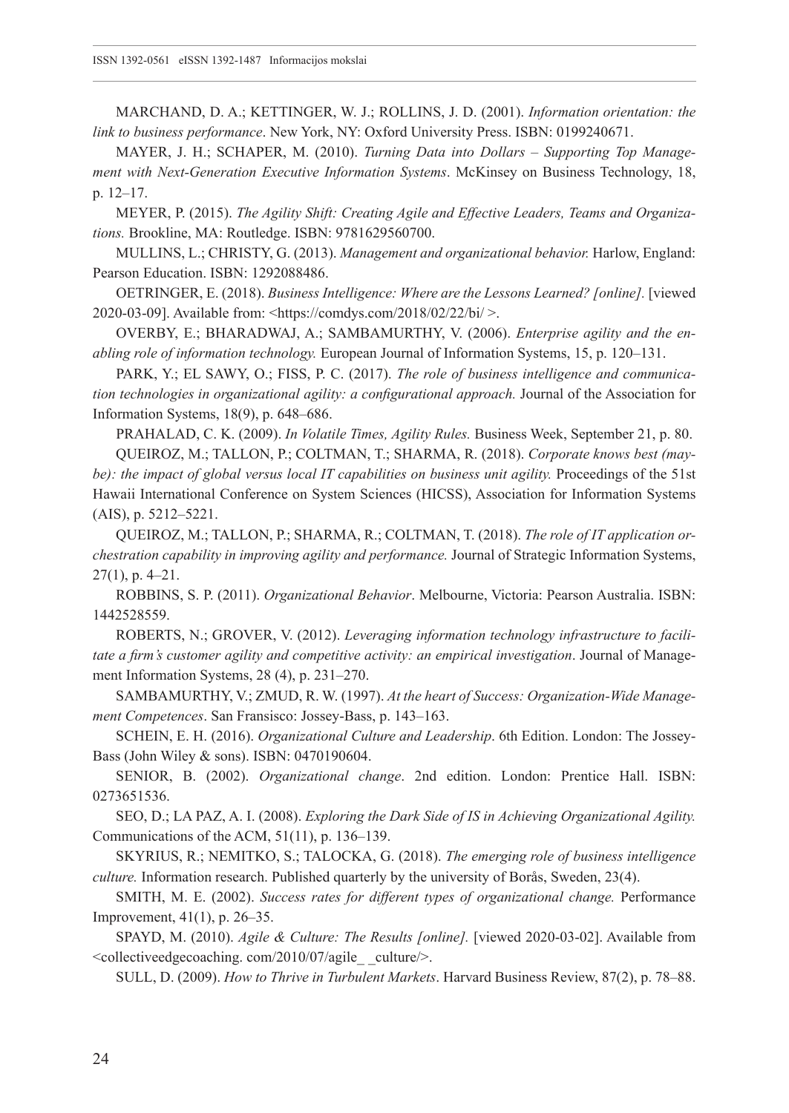MARCHAND, D. A.; KETTINGER, W. J.; ROLLINS, J. D. (2001). *Information orientation: the link to business performance*. New York, NY: Oxford University Press. ISBN: 0199240671.

MAYER, J. H.; SCHAPER, M. (2010). *Turning Data into Dollars – Supporting Top Management with Next-Generation Executive Information Systems*. McKinsey on Business Technology, 18, p. 12–17.

MEYER, P. (2015). *The Agility Shift: Creating Agile and Effective Leaders, Teams and Organizations.* Brookline, MA: Routledge. ISBN: 9781629560700.

MULLINS, L.; CHRISTY, G. (2013). *Management and organizational behavior.* Harlow, England: Pearson Education. ISBN: 1292088486.

OETRINGER, E. (2018). *Business Intelligence: Where are the Lessons Learned? [online].* [viewed 2020-03-09]. Available from: <<https://comdys.com/2018/02/22/bi/>>.

OVERBY, E.; BHARADWAJ, A.; SAMBAMURTHY, V. (2006). *Enterprise agility and the enabling role of information technology.* European Journal of Information Systems, 15, p. 120–131.

PARK, Y.; EL SAWY, O.; FISS, P. C. (2017). *The role of business intelligence and communication technologies in organizational agility: a configurational approach.* Journal of the Association for Information Systems, 18(9), p. 648–686.

PRAHALAD, C. K. (2009). *In Volatile Times, Agility Rules.* Business Week, September 21, p. 80.

QUEIROZ, M.; TALLON, P.; COLTMAN, T.; SHARMA, R. (2018). *Corporate knows best (maybe): the impact of global versus local IT capabilities on business unit agility.* Proceedings of the 51st Hawaii International Conference on System Sciences (HICSS), Association for Information Systems (AIS), p. 5212–5221.

QUEIROZ, M.; TALLON, P.; SHARMA, R.; COLTMAN, T. (2018). *The role of IT application orchestration capability in improving agility and performance.* Journal of Strategic Information Systems, 27(1), p. 4–21.

ROBBINS, S. P. (2011). *Organizational Behavior*. Melbourne, Victoria: Pearson Australia. ISBN: 1442528559.

ROBERTS, N.; GROVER, V. (2012). *Leveraging information technology infrastructure to facilitate a firm's customer agility and competitive activity: an empirical investigation*. Journal of Management Information Systems, 28 (4), p. 231–270.

SAMBAMURTHY, V.; ZMUD, R. W. (1997). *At the heart of Success: Organization-Wide Management Competences*. San Fransisco: Jossey-Bass, p. 143–163.

SCHEIN, E. H. (2016). *Organizational Culture and Leadership*. 6th Edition. London: The Jossey-Bass (John Wiley & sons). ISBN: 0470190604.

SENIOR, B. (2002). *Organizational change*. 2nd edition. London: Prentice Hall. ISBN: 0273651536.

SEO, D.; LA PAZ, A. I. (2008). *Exploring the Dark Side of IS in Achieving Organizational Agility.* Communications of the ACM, 51(11), p. 136–139.

SKYRIUS, R.; NEMITKO, S.; TALOCKA, G. (2018). *The emerging role of business intelligence culture.* Information research. Published quarterly by the university of Borås, Sweden, 23(4).

SMITH, M. E. (2002). *Success rates for different types of organizational change.* Performance Improvement, 41(1), p. 26–35.

SPAYD, M. (2010). *Agile & Culture: The Results [online].* [viewed 2020-03-02]. Available from <collectiveedgecoaching. com/2010/07/agile\_ \_culture/>.

SULL, D. (2009). *How to Thrive in Turbulent Markets*. Harvard Business Review, 87(2), p. 78–88.